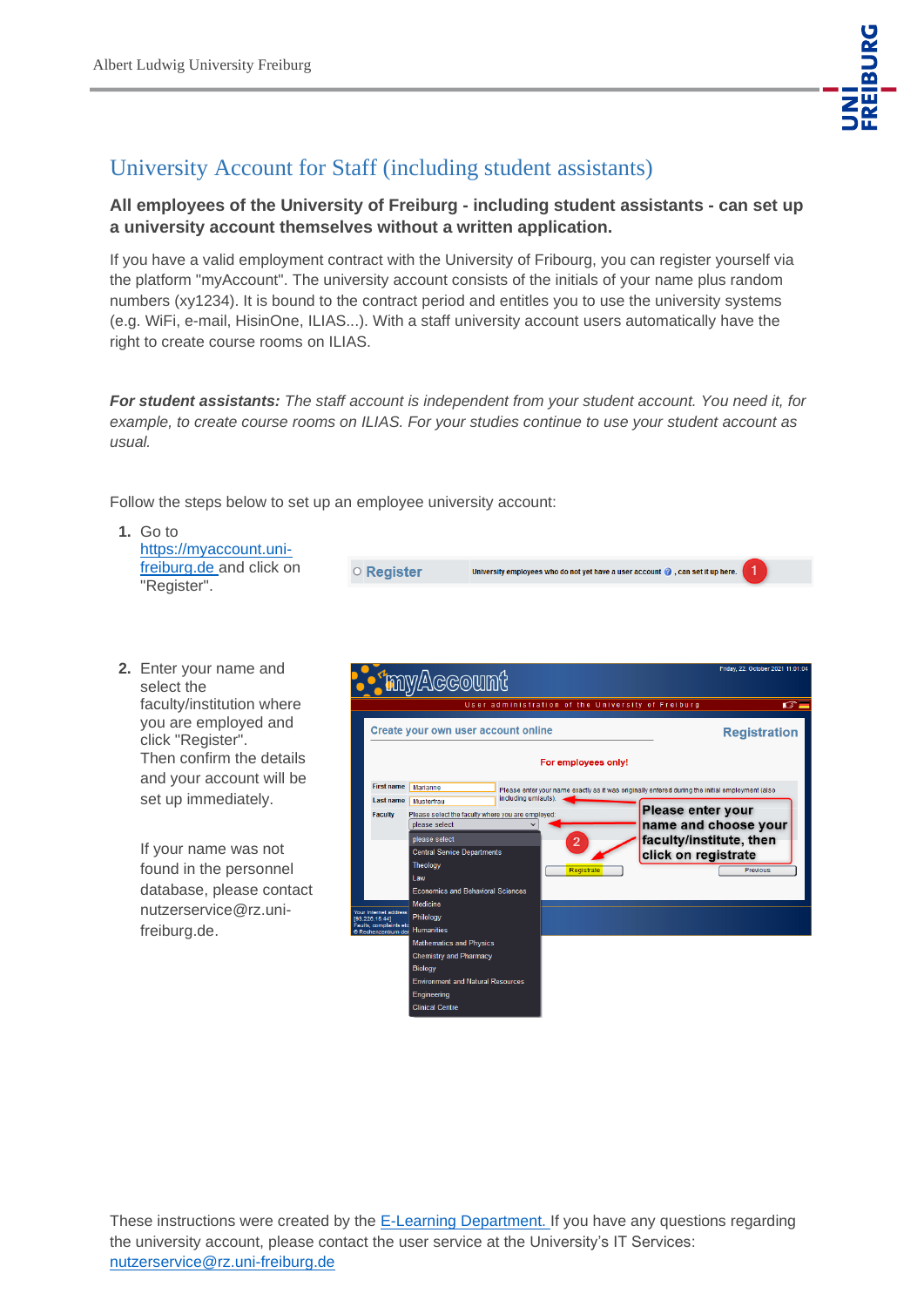

## University Account for Staff (including student assistants)

## **All employees of the University of Freiburg - including student assistants - can set up a university account themselves without a written application.**

If you have a valid employment contract with the University of Fribourg, you can register yourself via the platform "myAccount". The university account consists of the initials of your name plus random numbers (xy1234). It is bound to the contract period and entitles you to use the university systems (e.g. WiFi, e-mail, HisinOne, ILIAS...). With a staff university account users automatically have the right to create course rooms on ILIAS.

*For student assistants: The staff account is independent from your student account. You need it, for example, to create course rooms on ILIAS. For your studies continue to use your student account as usual.* 

Follow the steps below to set up an employee university account:

| Go to<br>https://myaccount.uni-         |                  |                                                                                          |  |
|-----------------------------------------|------------------|------------------------------------------------------------------------------------------|--|
| freiburg.de and click on<br>"Register". | $\circ$ Register | University employees who do not yet have a user account $\bigcirc$ , can set it up here. |  |

**2.** Enter your name and select the faculty/institution where you are employed and click "Register". Then confirm the details and your account will be set up immediately.

> If your name was not found in the personnel database, please contact nutzerservice@rz.unifreiburg.de.